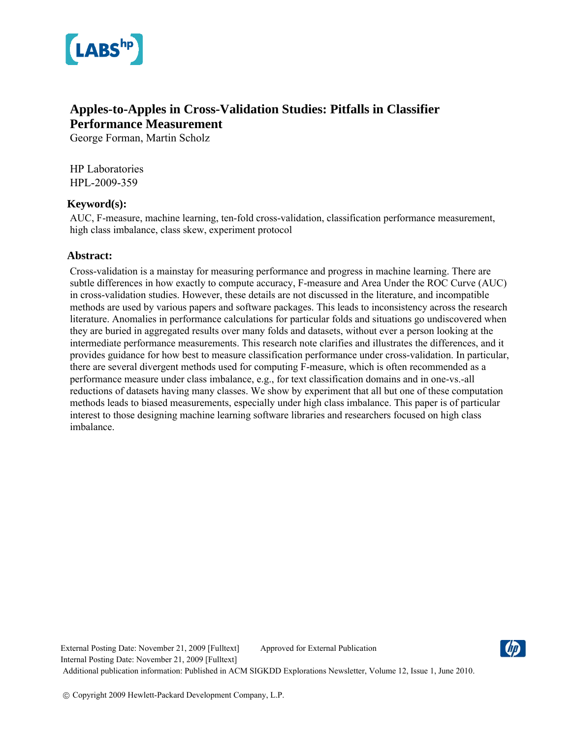

# **Apples-to-Apples in Cross-Validation Studies: Pitfalls in Classifier Performance Measurement**

George Forman, Martin Scholz

HP Laboratories HPL-2009-359

## **Keyword(s):**

AUC, F-measure, machine learning, ten-fold cross-validation, classification performance measurement, high class imbalance, class skew, experiment protocol

## **Abstract:**

Cross-validation is a mainstay for measuring performance and progress in machine learning. There are subtle differences in how exactly to compute accuracy, F-measure and Area Under the ROC Curve (AUC) in cross-validation studies. However, these details are not discussed in the literature, and incompatible methods are used by various papers and software packages. This leads to inconsistency across the research literature. Anomalies in performance calculations for particular folds and situations go undiscovered when they are buried in aggregated results over many folds and datasets, without ever a person looking at the intermediate performance measurements. This research note clarifies and illustrates the differences, and it provides guidance for how best to measure classification performance under cross-validation. In particular, there are several divergent methods used for computing F-measure, which is often recommended as a performance measure under class imbalance, e.g., for text classification domains and in one-vs.-all reductions of datasets having many classes. We show by experiment that all but one of these computation methods leads to biased measurements, especially under high class imbalance. This paper is of particular interest to those designing machine learning software libraries and researchers focused on high class imbalance.

External Posting Date: November 21, 2009 [Fulltext] Approved for External Publication Internal Posting Date: November 21, 2009 [Fulltext] Additional publication information: Published in ACM SIGKDD Explorations Newsletter, Volume 12, Issue 1, June 2010.

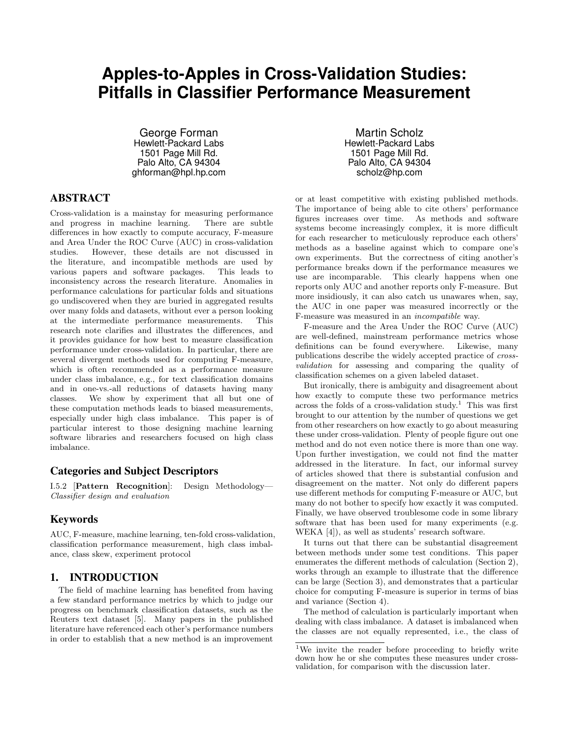# **Apples-to-Apples in Cross-Validation Studies: Pitfalls in Classifier Performance Measurement**

George Forman Hewlett-Packard Labs 1501 Page Mill Rd. Palo Alto, CA 94304 ghforman@hpl.hp.com

## ABSTRACT

Cross-validation is a mainstay for measuring performance and progress in machine learning. There are subtle differences in how exactly to compute accuracy, F-measure and Area Under the ROC Curve (AUC) in cross-validation studies. However, these details are not discussed in the literature, and incompatible methods are used by various papers and software packages. This leads to inconsistency across the research literature. Anomalies in performance calculations for particular folds and situations go undiscovered when they are buried in aggregated results over many folds and datasets, without ever a person looking at the intermediate performance measurements. This research note clarifies and illustrates the differences, and it provides guidance for how best to measure classification performance under cross-validation. In particular, there are several divergent methods used for computing F-measure, which is often recommended as a performance measure under class imbalance, e.g., for text classification domains and in one-vs.-all reductions of datasets having many classes. We show by experiment that all but one of these computation methods leads to biased measurements, especially under high class imbalance. This paper is of particular interest to those designing machine learning software libraries and researchers focused on high class imbalance.

#### Categories and Subject Descriptors

I.5.2 [Pattern Recognition]: Design Methodology— Classifier design and evaluation

## Keywords

AUC, F-measure, machine learning, ten-fold cross-validation, classification performance measurement, high class imbalance, class skew, experiment protocol

### 1. INTRODUCTION

The field of machine learning has benefited from having a few standard performance metrics by which to judge our progress on benchmark classification datasets, such as the Reuters text dataset [5]. Many papers in the published literature have referenced each other's performance numbers in order to establish that a new method is an improvement

Martin Scholz Hewlett-Packard Labs 1501 Page Mill Rd. Palo Alto, CA 94304 scholz@hp.com

or at least competitive with existing published methods. The importance of being able to cite others' performance figures increases over time. As methods and software systems become increasingly complex, it is more difficult for each researcher to meticulously reproduce each others' methods as a baseline against which to compare one's own experiments. But the correctness of citing another's performance breaks down if the performance measures we use are incomparable. This clearly happens when one reports only AUC and another reports only F-measure. But more insidiously, it can also catch us unawares when, say, the AUC in one paper was measured incorrectly or the F-measure was measured in an incompatible way.

F-measure and the Area Under the ROC Curve (AUC) are well-defined, mainstream performance metrics whose definitions can be found everywhere. Likewise, many publications describe the widely accepted practice of crossvalidation for assessing and comparing the quality of classification schemes on a given labeled dataset.

But ironically, there is ambiguity and disagreement about how exactly to compute these two performance metrics across the folds of a cross-validation study.<sup>1</sup> This was first brought to our attention by the number of questions we get from other researchers on how exactly to go about measuring these under cross-validation. Plenty of people figure out one method and do not even notice there is more than one way. Upon further investigation, we could not find the matter addressed in the literature. In fact, our informal survey of articles showed that there is substantial confusion and disagreement on the matter. Not only do different papers use different methods for computing F-measure or AUC, but many do not bother to specify how exactly it was computed. Finally, we have observed troublesome code in some library software that has been used for many experiments (e.g. WEKA [4]), as well as students' research software.

It turns out that there can be substantial disagreement between methods under some test conditions. This paper enumerates the different methods of calculation (Section 2), works through an example to illustrate that the difference can be large (Section 3), and demonstrates that a particular choice for computing F-measure is superior in terms of bias and variance (Section 4).

The method of calculation is particularly important when dealing with class imbalance. A dataset is imbalanced when the classes are not equally represented, i.e., the class of

<sup>&</sup>lt;sup>1</sup>We invite the reader before proceeding to briefly write down how he or she computes these measures under crossvalidation, for comparison with the discussion later.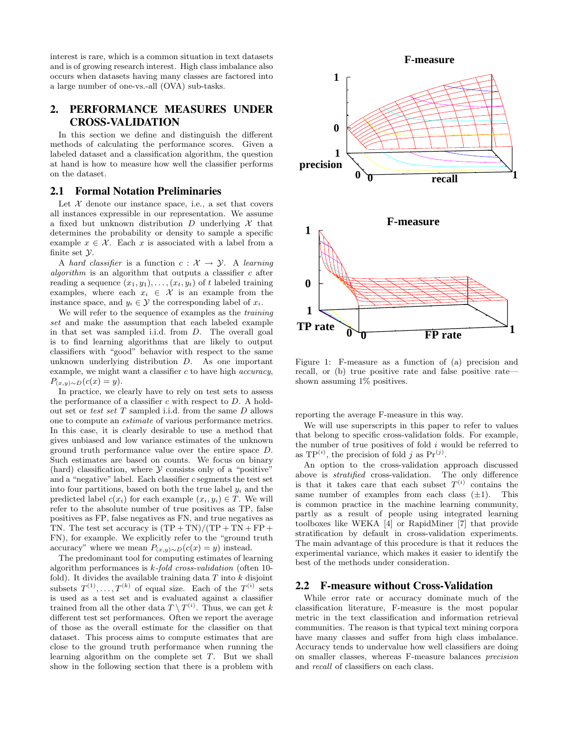interest is rare, which is a common situation in text datasets and is of growing research interest. High class imbalance also occurs when datasets having many classes are factored into a large number of one-vs.-all (OVA) sub-tasks.

# 2. PERFORMANCE MEASURES UNDER CROSS-VALIDATION

In this section we define and distinguish the different methods of calculating the performance scores. Given a labeled dataset and a classification algorithm, the question at hand is how to measure how well the classifier performs on the dataset.

#### 2.1 Formal Notation Preliminaries

Let  $X$  denote our instance space, i.e., a set that covers all instances expressible in our representation. We assume a fixed but unknown distribution D underlying  $\mathcal X$  that determines the probability or density to sample a specific example  $x \in \mathcal{X}$ . Each x is associated with a label from a finite set  $\mathcal{Y}$ .

A hard classifier is a function  $c: \mathcal{X} \rightarrow \mathcal{Y}$ . A learning algorithm is an algorithm that outputs a classifier  $c$  after reading a sequence  $(x_1, y_1), \ldots, (x_t, y_t)$  of t labeled training examples, where each  $x_i \in \mathcal{X}$  is an example from the instance space, and  $y_i \in \mathcal{Y}$  the corresponding label of  $x_i$ .

We will refer to the sequence of examples as the *training* set and make the assumption that each labeled example in that set was sampled i.i.d. from D. The overall goal is to find learning algorithms that are likely to output classifiers with "good" behavior with respect to the same unknown underlying distribution  $D$ . As one important example, we might want a classifier  $c$  to have high *accuracy*,  $P_{(x,y)\sim D}(c(x) = y).$ 

In practice, we clearly have to rely on test sets to assess the performance of a classifier  $c$  with respect to  $D$ . A holdout set or test set T sampled i.i.d. from the same D allows one to compute an estimate of various performance metrics. In this case, it is clearly desirable to use a method that gives unbiased and low variance estimates of the unknown ground truth performance value over the entire space D. Such estimates are based on counts. We focus on binary (hard) classification, where  $\mathcal Y$  consists only of a "positive" and a "negative" label. Each classifier c segments the test set into four partitions, based on both the true label  $y_i$  and the predicted label  $c(x_i)$  for each example  $(x_i, y_i) \in T$ . We will refer to the absolute number of true positives as TP, false positives as FP, false negatives as FN, and true negatives as TN. The test set accuracy is  $(TP + TN)/(TP + TN + FP +$ FN), for example. We explicitly refer to the "ground truth accuracy" where we mean  $P_{(x,y)\sim D}(c(x) = y)$  instead.

The predominant tool for computing estimates of learning algorithm performances is k-fold cross-validation (often 10 fold). It divides the available training data  $T$  into  $k$  disjoint subsets  $T^{(1)}, \ldots, T^{(k)}$  of equal size. Each of the  $T^{(i)}$  sets is used as a test set and is evaluated against a classifier trained from all the other data  $T \setminus T^{(i)}$ . Thus, we can get k different test set performances. Often we report the average of those as the overall estimate for the classifier on that dataset. This process aims to compute estimates that are close to the ground truth performance when running the learning algorithm on the complete set T. But we shall show in the following section that there is a problem with



Figure 1: F-measure as a function of (a) precision and recall, or (b) true positive rate and false positive rate shown assuming 1% positives.

reporting the average F-measure in this way.

We will use superscripts in this paper to refer to values that belong to specific cross-validation folds. For example, the number of true positives of fold  $i$  would be referred to as  $TP^{(i)}$ , the precision of fold j as  $Pr^{(j)}$ .

An option to the cross-validation approach discussed above is stratified cross-validation. The only difference is that it takes care that each subset  $T^{(i)}$  contains the same number of examples from each class  $(\pm 1)$ . This is common practice in the machine learning community, partly as a result of people using integrated learning toolboxes like WEKA [4] or RapidMiner [7] that provide stratification by default in cross-validation experiments. The main advantage of this procedure is that it reduces the experimental variance, which makes it easier to identify the best of the methods under consideration.

#### 2.2 F-measure without Cross-Validation

While error rate or accuracy dominate much of the classification literature, F-measure is the most popular metric in the text classification and information retrieval communities. The reason is that typical text mining corpora have many classes and suffer from high class imbalance. Accuracy tends to undervalue how well classifiers are doing on smaller classes, whereas F-measure balances precision and recall of classifiers on each class.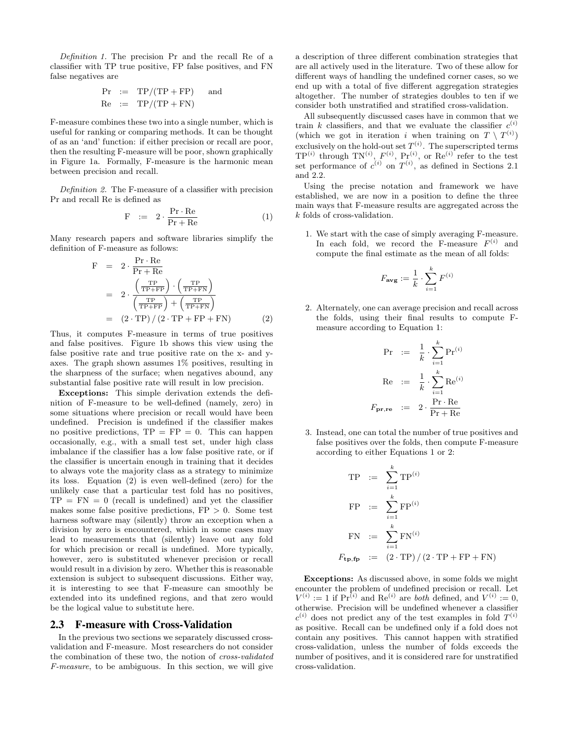Definition 1. The precision Pr and the recall Re of a classifier with TP true positive, FP false positives, and FN false negatives are

$$
Pr := TP/(TP + FP) \text{ and}
$$
  

$$
Re := TP/(TP + FN)
$$

F-measure combines these two into a single number, which is useful for ranking or comparing methods. It can be thought of as an 'and' function: if either precision or recall are poor, then the resulting F-measure will be poor, shown graphically in Figure 1a. Formally, F-measure is the harmonic mean between precision and recall.

Definition 2. The F-measure of a classifier with precision Pr and recall Re is defined as

$$
\mathbf{F} \quad := \quad 2 \cdot \frac{\mathbf{Pr} \cdot \mathbf{Re}}{\mathbf{Pr} + \mathbf{Re}} \tag{1}
$$

Many research papers and software libraries simplify the definition of F-measure as follows:

$$
F = 2 \cdot \frac{Pr \cdot Re}{Pr + Re}
$$
  
= 
$$
2 \cdot \frac{\left(\frac{TP}{TP + FP}\right) \cdot \left(\frac{TP}{TP + FN}\right)}{\left(\frac{TP}{TP + FP}\right) + \left(\frac{TP}{TP + FN}\right)}
$$
  
= 
$$
(2 \cdot TP) / (2 \cdot TP + FP + FN)
$$
 (2)

Thus, it computes F-measure in terms of true positives and false positives. Figure 1b shows this view using the false positive rate and true positive rate on the x- and yaxes. The graph shown assumes 1% positives, resulting in the sharpness of the surface; when negatives abound, any substantial false positive rate will result in low precision.

Exceptions: This simple derivation extends the definition of F-measure to be well-defined (namely, zero) in some situations where precision or recall would have been undefined. Precision is undefined if the classifier makes no positive predictions,  $TP = FP = 0$ . This can happen occasionally, e.g., with a small test set, under high class imbalance if the classifier has a low false positive rate, or if the classifier is uncertain enough in training that it decides to always vote the majority class as a strategy to minimize its loss. Equation (2) is even well-defined (zero) for the unlikely case that a particular test fold has no positives,  $TP = FN = 0$  (recall is undefined) and yet the classifier makes some false positive predictions,  $FP > 0$ . Some test harness software may (silently) throw an exception when a division by zero is encountered, which in some cases may lead to measurements that (silently) leave out any fold for which precision or recall is undefined. More typically, however, zero is substituted whenever precision or recall would result in a division by zero. Whether this is reasonable extension is subject to subsequent discussions. Either way, it is interesting to see that F-measure can smoothly be extended into its undefined regions, and that zero would be the logical value to substitute here.

#### 2.3 F-measure with Cross-Validation

In the previous two sections we separately discussed crossvalidation and F-measure. Most researchers do not consider the combination of these two, the notion of cross-validated F-measure, to be ambiguous. In this section, we will give

a description of three different combination strategies that are all actively used in the literature. Two of these allow for different ways of handling the undefined corner cases, so we end up with a total of five different aggregation strategies altogether. The number of strategies doubles to ten if we consider both unstratified and stratified cross-validation.

All subsequently discussed cases have in common that we train k classifiers, and that we evaluate the classifier  $c^{(i)}$ (which we got in iteration i when training on  $T \setminus T^{(i)}$ ) exclusively on the hold-out set  $T^{(i)}$ . The superscripted terms  $TP^{(i)}$  through  $TN^{(i)}$ ,  $F^{(i)}$ ,  $Pr^{(i)}$ , or  $Re^{(i)}$  refer to the test set performance of  $c^{(i)}$  on  $T^{(i)}$ , as defined in Sections 2.1 and 2.2.

Using the precise notation and framework we have established, we are now in a position to define the three main ways that F-measure results are aggregated across the k folds of cross-validation.

1. We start with the case of simply averaging F-measure. In each fold, we record the F-measure  $F^{(i)}$  and compute the final estimate as the mean of all folds:

$$
F_{\mathbf{avg}} := \frac{1}{k} \cdot \sum_{i=1}^k F^{(i)}
$$

2. Alternately, one can average precision and recall across the folds, using their final results to compute Fmeasure according to Equation 1:

$$
\Pr := \frac{1}{k} \cdot \sum_{i=1}^{k} \Pr^{(i)}
$$

$$
\text{Re} := \frac{1}{k} \cdot \sum_{i=1}^{k} \text{Re}^{(i)}
$$

$$
F_{\text{pr}, \text{re}} := 2 \cdot \frac{\Pr \cdot \text{Re}}{\Pr + \text{Re}}
$$

3. Instead, one can total the number of true positives and false positives over the folds, then compute F-measure according to either Equations 1 or 2:

$$
TP := \sum_{i=1}^{k} TP^{(i)}
$$
  
\n
$$
FP := \sum_{i=1}^{k} FP^{(i)}
$$
  
\n
$$
FN := \sum_{i=1}^{k} FN^{(i)}
$$
  
\n
$$
F_{\mathbf{tp}, \mathbf{fp}} := (2 \cdot TP) / (2 \cdot TP + FP + FN)
$$

Exceptions: As discussed above, in some folds we might encounter the problem of undefined precision or recall. Let  $V^{(i)} := 1$  if  $Pr^{(i)}$  and  $Re^{(i)}$  are *both* defined, and  $V^{(i)} := 0$ , otherwise. Precision will be undefined whenever a classifier  $c^{(i)}$  does not predict any of the test examples in fold  $T^{(i)}$ as positive. Recall can be undefined only if a fold does not contain any positives. This cannot happen with stratified cross-validation, unless the number of folds exceeds the number of positives, and it is considered rare for unstratified cross-validation.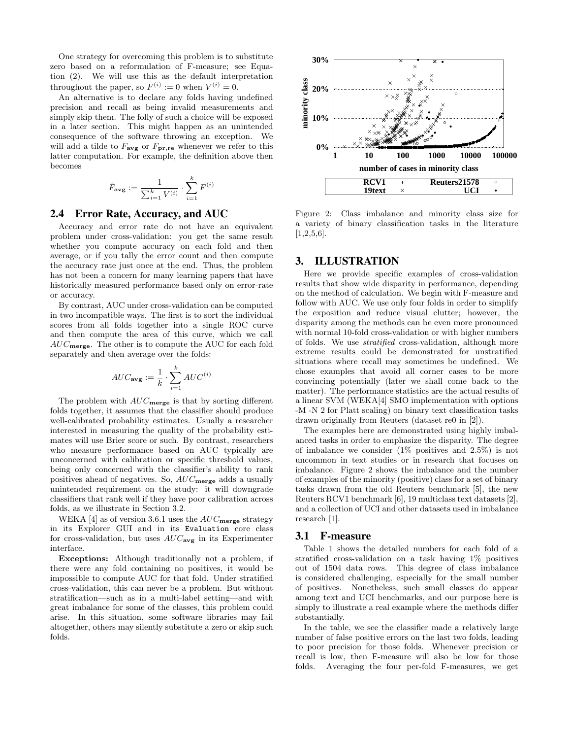One strategy for overcoming this problem is to substitute zero based on a reformulation of F-measure; see Equation (2). We will use this as the default interpretation throughout the paper, so  $F^{(i)} := 0$  when  $V^{(i)} = 0$ .

An alternative is to declare any folds having undefined precision and recall as being invalid measurements and simply skip them. The folly of such a choice will be exposed in a later section. This might happen as an unintended consequence of the software throwing an exception. We will add a tilde to  $F_{\text{avg}}$  or  $F_{\text{pr},\text{re}}$  whenever we refer to this latter computation. For example, the definition above then becomes

$$
\tilde{F}_{\mathbf{avg}} := \frac{1}{\sum_{i=1}^k V^{(i)}} \cdot \sum_{i=1}^k F^{(i)}
$$

#### 2.4 Error Rate, Accuracy, and AUC

Accuracy and error rate do not have an equivalent problem under cross-validation: you get the same result whether you compute accuracy on each fold and then average, or if you tally the error count and then compute the accuracy rate just once at the end. Thus, the problem has not been a concern for many learning papers that have historically measured performance based only on error-rate or accuracy.

By contrast, AUC under cross-validation can be computed in two incompatible ways. The first is to sort the individual scores from all folds together into a single ROC curve and then compute the area of this curve, which we call  $AUC<sub>merge</sub>$ . The other is to compute the AUC for each fold separately and then average over the folds:

$$
AUC_{\textbf{avg}} := \frac{1}{k} \cdot \sum_{i=1}^{k} AUC^{(i)}
$$

The problem with  $AUC<sub>merge</sub>$  is that by sorting different folds together, it assumes that the classifier should produce well-calibrated probability estimates. Usually a researcher interested in measuring the quality of the probability estimates will use Brier score or such. By contrast, researchers who measure performance based on AUC typically are unconcerned with calibration or specific threshold values, being only concerned with the classifier's ability to rank positives ahead of negatives. So,  $AUC<sub>merge</sub>$  adds a usually unintended requirement on the study: it will downgrade classifiers that rank well if they have poor calibration across folds, as we illustrate in Section 3.2.

WEKA [4] as of version 3.6.1 uses the  $AUC<sub>merge</sub>$  strategy in its Explorer GUI and in its Evaluation core class for cross-validation, but uses  $AUC_{\text{avg}}$  in its Experimenter interface.

Exceptions: Although traditionally not a problem, if there were any fold containing no positives, it would be impossible to compute AUC for that fold. Under stratified cross-validation, this can never be a problem. But without stratification—such as in a multi-label setting—and with great imbalance for some of the classes, this problem could arise. In this situation, some software libraries may fail altogether, others may silently substitute a zero or skip such folds.



Figure 2: Class imbalance and minority class size for a variety of binary classification tasks in the literature  $[1,2,5,6]$ .

## 3. ILLUSTRATION

Here we provide specific examples of cross-validation results that show wide disparity in performance, depending on the method of calculation. We begin with F-measure and follow with AUC. We use only four folds in order to simplify the exposition and reduce visual clutter; however, the disparity among the methods can be even more pronounced with normal 10-fold cross-validation or with higher numbers of folds. We use stratified cross-validation, although more extreme results could be demonstrated for unstratified situations where recall may sometimes be undefined. We chose examples that avoid all corner cases to be more convincing potentially (later we shall come back to the matter). The performance statistics are the actual results of a linear SVM (WEKA[4] SMO implementation with options -M -N 2 for Platt scaling) on binary text classification tasks drawn originally from Reuters (dataset re0 in [2]).

The examples here are demonstrated using highly imbalanced tasks in order to emphasize the disparity. The degree of imbalance we consider  $(1\%$  positives and  $2.5\%$ ) is not uncommon in text studies or in research that focuses on imbalance. Figure 2 shows the imbalance and the number of examples of the minority (positive) class for a set of binary tasks drawn from the old Reuters benchmark [5], the new Reuters RCV1 benchmark [6], 19 multiclass text datasets [2], and a collection of UCI and other datasets used in imbalance research [1].

#### 3.1 F-measure

Table 1 shows the detailed numbers for each fold of a stratified cross-validation on a task having 1% positives out of 1504 data rows. This degree of class imbalance is considered challenging, especially for the small number of positives. Nonetheless, such small classes do appear among text and UCI benchmarks, and our purpose here is simply to illustrate a real example where the methods differ substantially.

In the table, we see the classifier made a relatively large number of false positive errors on the last two folds, leading to poor precision for those folds. Whenever precision or recall is low, then F-measure will also be low for those folds. Averaging the four per-fold F-measures, we get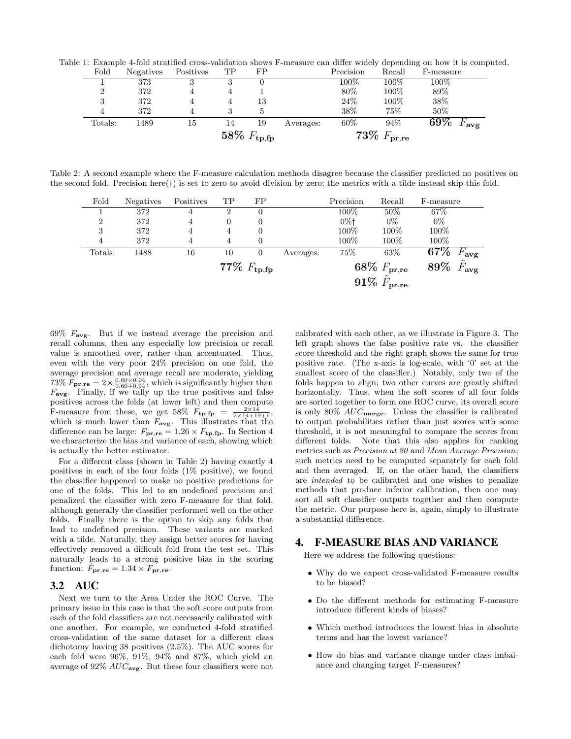Table 1: Example 4-fold stratified cross-validation shows F-measure can differ widely depending on how it is computed.

| 3       | 372  |    |                         | 13 |           | 24%                     | 100% | 38%                          |  |
|---------|------|----|-------------------------|----|-----------|-------------------------|------|------------------------------|--|
| 4       | 372  |    |                         |    |           | 38\%                    | 75%  | 50%                          |  |
| Totals: | 1489 | 15 | 14                      | 19 | Averages: | 60\%                    | 94%  | $69\%$<br>$F_{\mathbf{avg}}$ |  |
|         |      |    | 58\% $F_{\text{tp,fp}}$ |    |           | 73\% $F_{\text{pr,re}}$ |      |                              |  |

Table 2: A second example where the F-measure calculation methods disagree because the classifier predicted no positives on the second fold. Precision here(†) is set to zero to avoid division by zero; the metrics with a tilde instead skip this fold.

| Fold           | Negatives | Positives                | TP             | FP |           | Precision                     | Recall  | F-measure |                 |  |  |
|----------------|-----------|--------------------------|----------------|----|-----------|-------------------------------|---------|-----------|-----------------|--|--|
|                | 372       | 4                        | ົ              | 0  |           | 100%                          | 50%     | $67\%$    |                 |  |  |
| $\overline{2}$ | 372       | 4                        | 0              | 0  |           | $0\%$ <sup>+</sup>            | $0\%$   | $0\%$     |                 |  |  |
| 3              | 372       | 4                        | $\overline{4}$ |    |           | 100%                          | $100\%$ | 100%      |                 |  |  |
| 4              | 372       | 4                        | 4              |    |           | 100%                          | $100\%$ | 100%      |                 |  |  |
| Totals:        | 1488      | 16                       | 10             | 0  | Averages: | 75%                           | 63\%    | $67\%$    | $^{\prime}$ avg |  |  |
|                |           | $77\% \; F_{\rm tp, fp}$ |                |    |           | $68\% \; F_{\rm pr,re}$       |         | 89%       | F<br>'avg       |  |  |
|                |           |                          |                |    |           | $91\%~\tilde{F}_{pr, \rm re}$ |         |           |                 |  |  |

 $69\%$   $F_{\text{avg}}$ . But if we instead average the precision and recall columns, then any especially low precision or recall value is smoothed over, rather than accentuated. Thus, even with the very poor 24% precision on one fold, the average precision and average recall are moderate, yielding 73%  $F_{\mathbf{pr},\mathbf{re}} = 2 \times \frac{0.60 \times 0.94}{0.60 + 0.94}$ , which is significantly higher than  $F_{\text{avg}}$ . Finally, if we tally up the true positives and false positives across the folds (at lower left) and then compute F-measure from these, we get 58%  $F_{\text{tp,fp}} = \frac{2 \times 14}{2 \times 14 + 19 + 1}$ , which is much lower than  $F_{\text{avg}}$ . This illustrates that the difference can be large:  $F_{\text{pr},\text{re}} = 1.26 \times F_{\text{tp},\text{fp}}$ . In Section 4 we characterize the bias and variance of each, showing which is actually the better estimator.

For a different class (shown in Table 2) having exactly 4 positives in each of the four folds (1% positive), we found the classifier happened to make no positive predictions for one of the folds. This led to an undefined precision and penalized the classifier with zero F-measure for that fold, although generally the classifier performed well on the other folds. Finally there is the option to skip any folds that lead to undefined precision. These variants are marked with a tilde. Naturally, they assign better scores for having effectively removed a difficult fold from the test set. This naturally leads to a strong positive bias in the scoring function:  $\tilde{F}_{\mathbf{pr},\mathbf{re}} = 1.34 \times F_{\mathbf{pr},\mathbf{re}}$ .

### 3.2 AUC

Next we turn to the Area Under the ROC Curve. The primary issue in this case is that the soft score outputs from each of the fold classifiers are not necessarily calibrated with one another. For example, we conducted 4-fold stratified cross-validation of the same dataset for a different class dichotomy having 38 positives (2.5%). The AUC scores for each fold were 96%, 91%, 94% and 87%, which yield an average of 92%  $AUC_{\text{avg}}$ . But these four classifiers were not calibrated with each other, as we illustrate in Figure 3. The left graph shows the false positive rate vs. the classifier score threshold and the right graph shows the same for true positive rate. (The x-axis is log-scale, with '0' set at the smallest score of the classifier.) Notably, only two of the folds happen to align; two other curves are greatly shifted horizontally. Thus, when the soft scores of all four folds are sorted together to form one ROC curve, its overall score is only  $80\%$   $AUC$ <sub>merge</sub>. Unless the classifier is calibrated to output probabilities rather than just scores with some threshold, it is not meaningful to compare the scores from different folds. Note that this also applies for ranking metrics such as Precision at 20 and Mean Average Precision; such metrics need to be computed separately for each fold and then averaged. If, on the other hand, the classifiers are intended to be calibrated and one wishes to penalize methods that produce inferior calibration, then one may sort all soft classifier outputs together and then compute the metric. Our purpose here is, again, simply to illustrate a substantial difference.

#### 4. F-MEASURE BIAS AND VARIANCE

Here we address the following questions:

- Why do we expect cross-validated F-measure results to be biased?
- Do the different methods for estimating F-measure introduce different kinds of biases?
- Which method introduces the lowest bias in absolute terms and has the lowest variance?
- How do bias and variance change under class imbalance and changing target F-measures?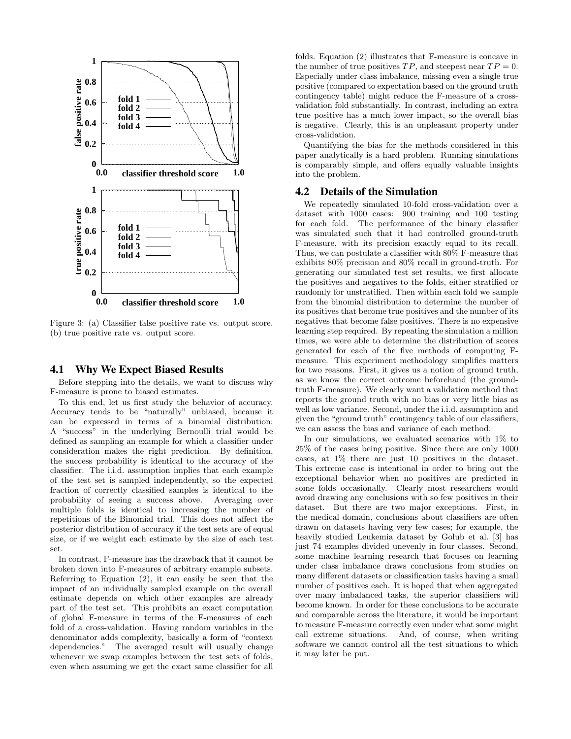

Figure 3: (a) Classifier false positive rate vs. output score. (b) true positive rate vs. output score.

#### 4.1 Why We Expect Biased Results

Before stepping into the details, we want to discuss why F-measure is prone to biased estimates.

To this end, let us first study the behavior of accuracy. Accuracy tends to be "naturally" unbiased, because it can be expressed in terms of a binomial distribution: A "success" in the underlying Bernoulli trial would be defined as sampling an example for which a classifier under consideration makes the right prediction. By definition, the success probability is identical to the accuracy of the classifier. The i.i.d. assumption implies that each example of the test set is sampled independently, so the expected fraction of correctly classified samples is identical to the probability of seeing a success above. Averaging over multiple folds is identical to increasing the number of repetitions of the Binomial trial. This does not affect the posterior distribution of accuracy if the test sets are of equal size, or if we weight each estimate by the size of each test set.

In contrast, F-measure has the drawback that it cannot be broken down into F-measures of arbitrary example subsets. Referring to Equation (2), it can easily be seen that the impact of an individually sampled example on the overall estimate depends on which other examples are already part of the test set. This prohibits an exact computation of global F-measure in terms of the F-measures of each fold of a cross-validation. Having random variables in the denominator adds complexity, basically a form of "context dependencies." The averaged result will usually change whenever we swap examples between the test sets of folds, even when assuming we get the exact same classifier for all

folds. Equation (2) illustrates that F-measure is concave in the number of true positives  $TP$ , and steepest near  $TP = 0$ . Especially under class imbalance, missing even a single true positive (compared to expectation based on the ground truth contingency table) might reduce the F-measure of a crossvalidation fold substantially. In contrast, including an extra true positive has a much lower impact, so the overall bias is negative. Clearly, this is an unpleasant property under cross-validation.

Quantifying the bias for the methods considered in this paper analytically is a hard problem. Running simulations is comparably simple, and offers equally valuable insights into the problem.

#### 4.2 Details of the Simulation

We repeatedly simulated 10-fold cross-validation over a dataset with 1000 cases: 900 training and 100 testing for each fold. The performance of the binary classifier was simulated such that it had controlled ground-truth F-measure, with its precision exactly equal to its recall. Thus, we can postulate a classifier with 80% F-measure that exhibits 80% precision and 80% recall in ground-truth. For generating our simulated test set results, we first allocate the positives and negatives to the folds, either stratified or randomly for unstratified. Then within each fold we sample from the binomial distribution to determine the number of its positives that become true positives and the number of its negatives that become false positives. There is no expensive learning step required. By repeating the simulation a million times, we were able to determine the distribution of scores generated for each of the five methods of computing Fmeasure. This experiment methodology simplifies matters for two reasons. First, it gives us a notion of ground truth, as we know the correct outcome beforehand (the groundtruth F-measure). We clearly want a validation method that reports the ground truth with no bias or very little bias as well as low variance. Second, under the i.i.d. assumption and given the "ground truth" contingency table of our classifiers, we can assess the bias and variance of each method.

In our simulations, we evaluated scenarios with 1% to 25% of the cases being positive. Since there are only 1000 cases, at 1% there are just 10 positives in the dataset. This extreme case is intentional in order to bring out the exceptional behavior when no positives are predicted in some folds occasionally. Clearly most researchers would avoid drawing any conclusions with so few positives in their dataset. But there are two major exceptions. First, in the medical domain, conclusions about classifiers are often drawn on datasets having very few cases; for example, the heavily studied Leukemia dataset by Golub et al. [3] has just 74 examples divided unevenly in four classes. Second, some machine learning research that focuses on learning under class imbalance draws conclusions from studies on many different datasets or classification tasks having a small number of positives each. It is hoped that when aggregated over many imbalanced tasks, the superior classifiers will become known. In order for these conclusions to be accurate and comparable across the literature, it would be important to measure F-measure correctly even under what some might call extreme situations. And, of course, when writing software we cannot control all the test situations to which it may later be put.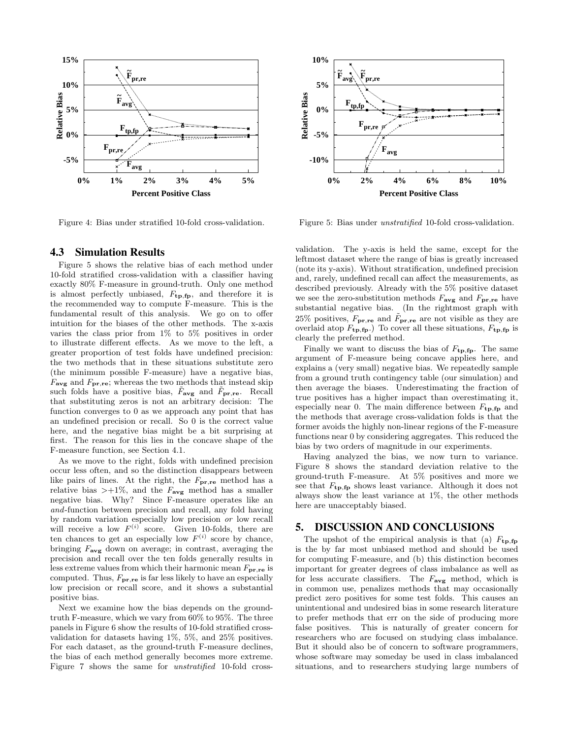

Figure 4: Bias under stratified 10-fold cross-validation.

#### 4.3 Simulation Results

Figure 5 shows the relative bias of each method under 10-fold stratified cross-validation with a classifier having exactly 80% F-measure in ground-truth. Only one method is almost perfectly unbiased,  $F_{tp,fp}$ , and therefore it is the recommended way to compute F-measure. This is the fundamental result of this analysis. We go on to offer intuition for the biases of the other methods. The x-axis varies the class prior from 1% to 5% positives in order to illustrate different effects. As we move to the left, a greater proportion of test folds have undefined precision: the two methods that in these situations substitute zero (the minimum possible F-measure) have a negative bias,  $F_{\textbf{avg}}$  and  $F_{\textbf{pr},\textbf{re}}$ ; whereas the two methods that instead skip such folds have a positive bias,  $F_{\text{avg}}$  and  $F_{\text{pr},\text{re}}$ . Recall that substituting zeros is not an arbitrary decision: The function converges to 0 as we approach any point that has an undefined precision or recall. So 0 is the correct value here, and the negative bias might be a bit surprising at first. The reason for this lies in the concave shape of the F-measure function, see Section 4.1.

As we move to the right, folds with undefined precision occur less often, and so the distinction disappears between like pairs of lines. At the right, the  $F_{\mathbf{pr}, \mathbf{re}}$  method has a relative bias  $\geq +1\%$ , and the  $F_{\text{avg}}$  method has a smaller negative bias. Why? Since F-measure operates like an and-function between precision and recall, any fold having by random variation especially low precision or low recall will receive a low  $F^{(i)}$  score. Given 10-folds, there are ten chances to get an especially low  $F^{(i)}$  score by chance, bringing  $F_{\text{avg}}$  down on average; in contrast, averaging the precision and recall over the ten folds generally results in less extreme values from which their harmonic mean  $F_{\text{pr},\text{re}}$  is computed. Thus,  $F_{\mathbf{pr},\mathbf{re}}$  is far less likely to have an especially low precision or recall score, and it shows a substantial positive bias.

Next we examine how the bias depends on the groundtruth F-measure, which we vary from 60% to 95%. The three panels in Figure 6 show the results of 10-fold stratified crossvalidation for datasets having 1%, 5%, and 25% positives. For each dataset, as the ground-truth F-measure declines, the bias of each method generally becomes more extreme. Figure 7 shows the same for unstratified 10-fold cross-



Figure 5: Bias under unstratified 10-fold cross-validation.

validation. The y-axis is held the same, except for the leftmost dataset where the range of bias is greatly increased (note its y-axis). Without stratification, undefined precision and, rarely, undefined recall can affect the measurements, as described previously. Already with the 5% positive dataset we see the zero-substitution methods  $F_{\text{avg}}$  and  $F_{\text{pr},\text{re}}$  have substantial negative bias. (In the rightmost graph with 25% positives,  $F_{\mathbf{pr},\mathbf{re}}$  and  $\tilde{F}_{\mathbf{pr},\mathbf{re}}$  are not visible as they are overlaid atop  $F_{\text{tp},\text{fp}}$ .) To cover all these situations,  $F_{\text{tp},\text{fp}}$  is clearly the preferred method.

Finally we want to discuss the bias of  $F_{tp,fp}$ . The same argument of F-measure being concave applies here, and explains a (very small) negative bias. We repeatedly sample from a ground truth contingency table (our simulation) and then average the biases. Underestimating the fraction of true positives has a higher impact than overestimating it, especially near 0. The main difference between  $F_{tp,fp}$  and the methods that average cross-validation folds is that the former avoids the highly non-linear regions of the F-measure functions near 0 by considering aggregates. This reduced the bias by two orders of magnitude in our experiments.

Having analyzed the bias, we now turn to variance. Figure 8 shows the standard deviation relative to the ground-truth F-measure. At 5% positives and more we see that  $F_{tp,fp}$  shows least variance. Although it does not always show the least variance at 1%, the other methods here are unacceptably biased.

#### 5. DISCUSSION AND CONCLUSIONS

The upshot of the empirical analysis is that (a)  $F_{\text{tp,fp}}$ is the by far most unbiased method and should be used for computing F-measure, and (b) this distinction becomes important for greater degrees of class imbalance as well as for less accurate classifiers. The  $F_{\text{avg}}$  method, which is in common use, penalizes methods that may occasionally predict zero positives for some test folds. This causes an unintentional and undesired bias in some research literature to prefer methods that err on the side of producing more false positives. This is naturally of greater concern for researchers who are focused on studying class imbalance. But it should also be of concern to software programmers, whose software may someday be used in class imbalanced situations, and to researchers studying large numbers of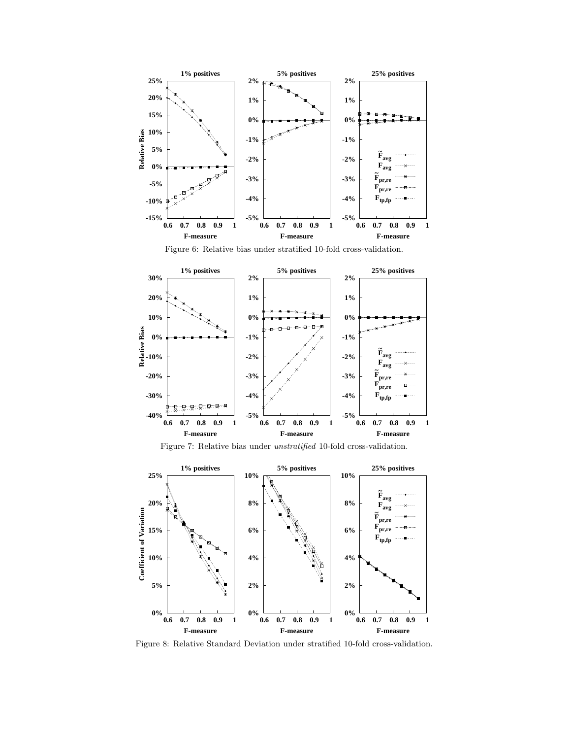

Figure 6: Relative bias under stratified 10-fold cross-validation.



Figure 7: Relative bias under unstratified 10-fold cross-validation.



Figure 8: Relative Standard Deviation under stratified 10-fold cross-validation.